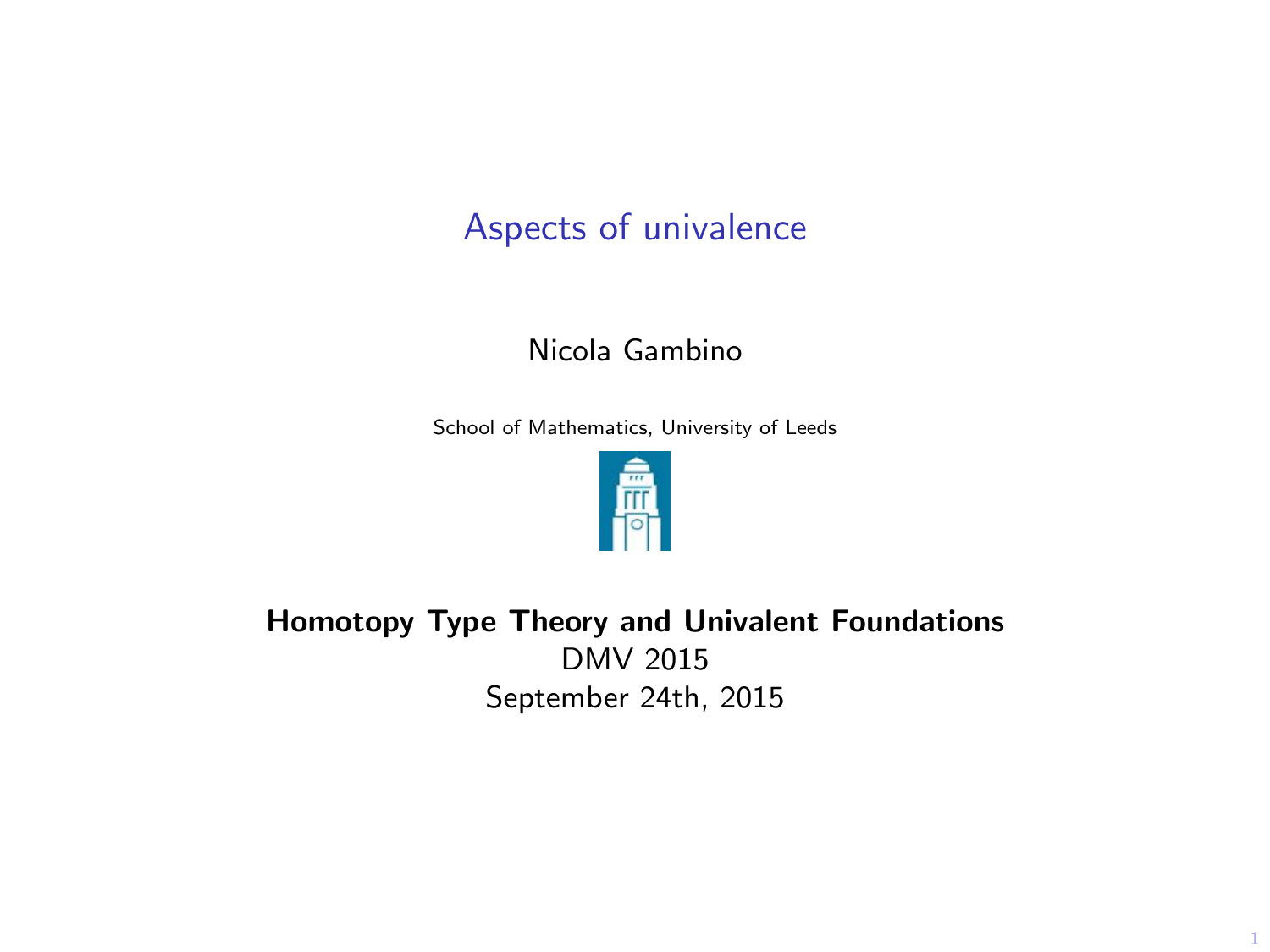# Aspects of univalence

#### Nicola Gambino

School of Mathematics, University of Leeds



Homotopy Type Theory and Univalent Foundations DMV 2015 September 24th, 2015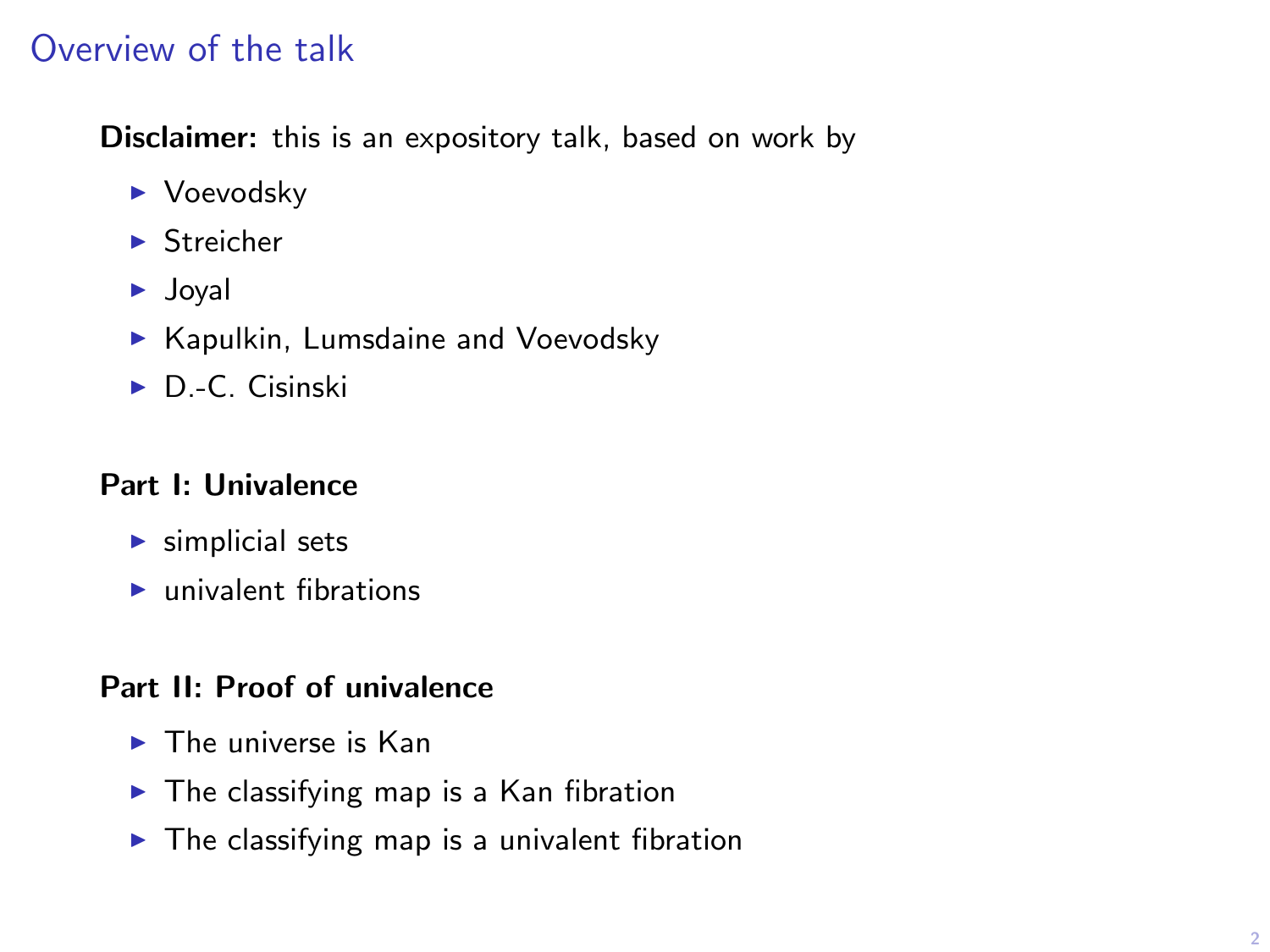# Overview of the talk

Disclaimer: this is an expository talk, based on work by

- $\blacktriangleright$  Voevodsky
- $\blacktriangleright$  Streicher
- $\blacktriangleright$  Joyal
- $\blacktriangleright$  Kapulkin, Lumsdaine and Voevodsky
- $\triangleright$  D.-C. Cisinski

#### Part I: Univalence

- $\blacktriangleright$  simplicial sets
- $\blacktriangleright$  univalent fibrations

#### Part II: Proof of univalence

- $\blacktriangleright$  The universe is Kan
- $\blacktriangleright$  The classifying map is a Kan fibration
- $\blacktriangleright$  The classifying map is a univalent fibration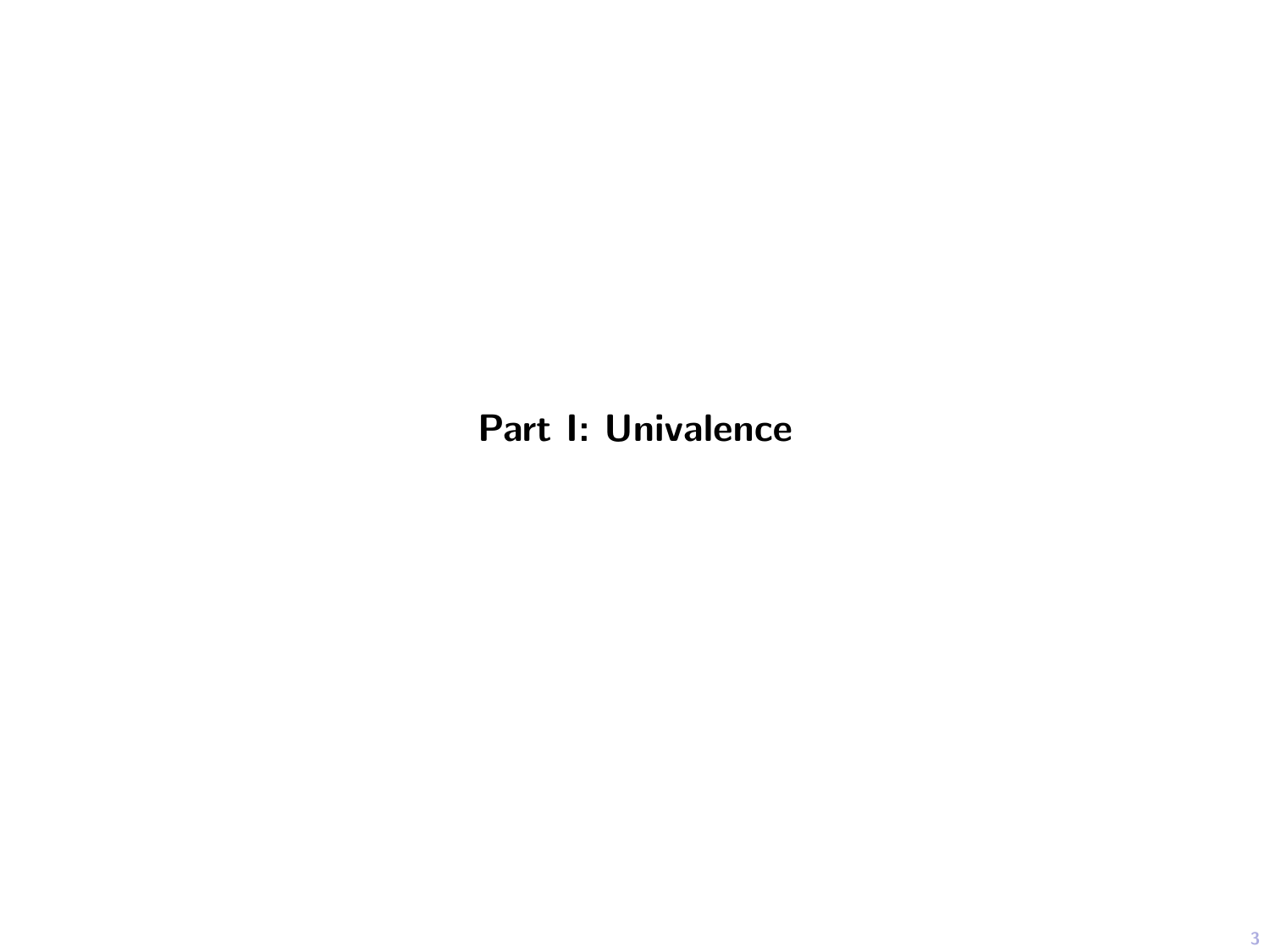# Part I: Univalence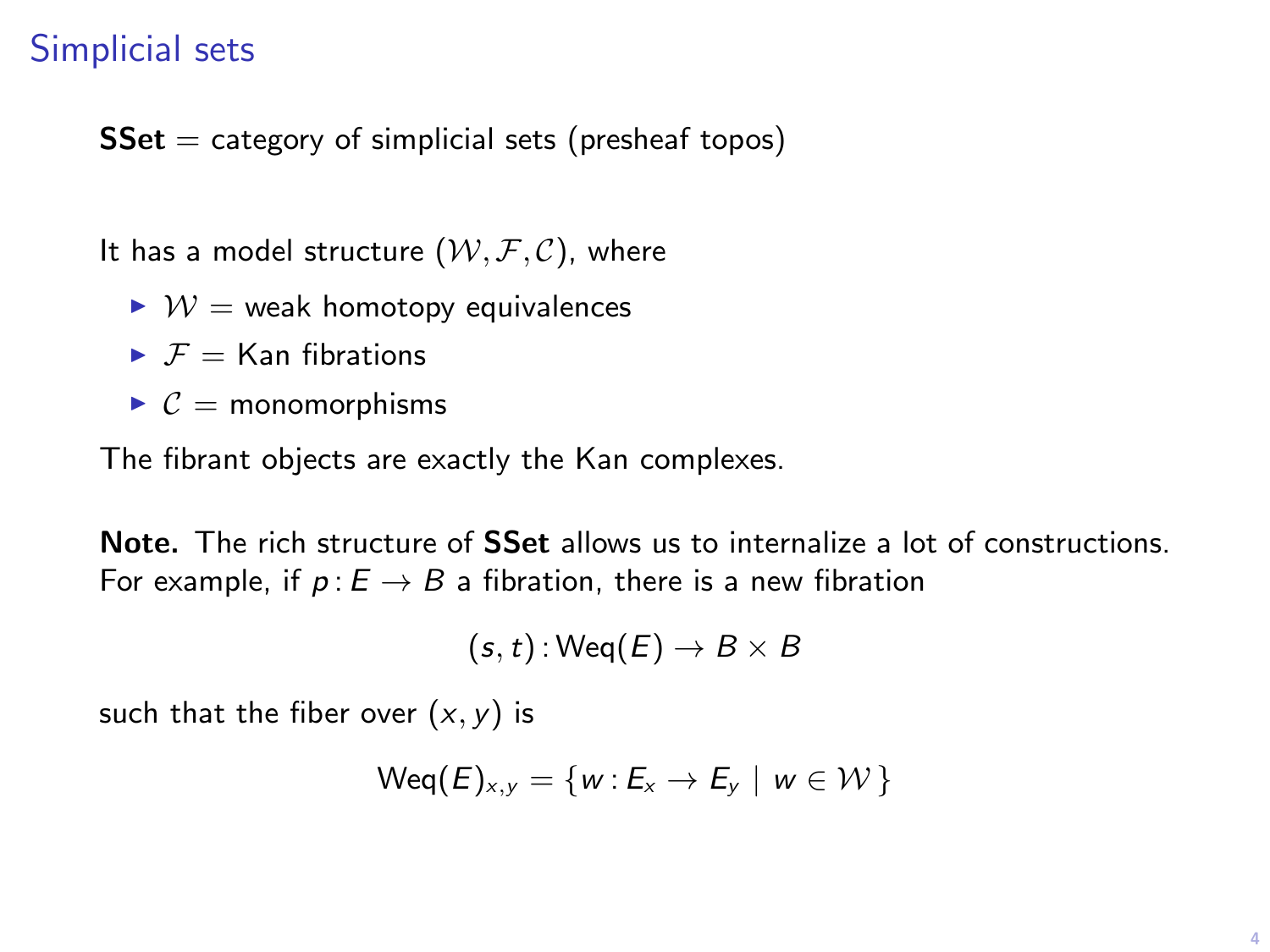## Simplicial sets

 $SSet = category of simplicial sets (preshear topos)$ 

It has a model structure  $(W, \mathcal{F}, \mathcal{C})$ , where

- $\triangleright \mathcal{W} =$  weak homotopy equivalences
- $\blacktriangleright$   $\mathcal{F} =$  Kan fibrations
- $\triangleright$   $\mathcal{C}$  = monomorphisms

The fibrant objects are exactly the Kan complexes.

Note. The rich structure of **SSet** allows us to internalize a lot of constructions. For example, if  $p : E \to B$  a fibration, there is a new fibration

$$
(s,t): {\sf Weq}(E) \to B \times B
$$

such that the fiber over  $(x, y)$  is

$$
\mathsf{Weq}(E)_{x,y} = \{w : E_x \to E_y \mid w \in \mathcal{W}\}\
$$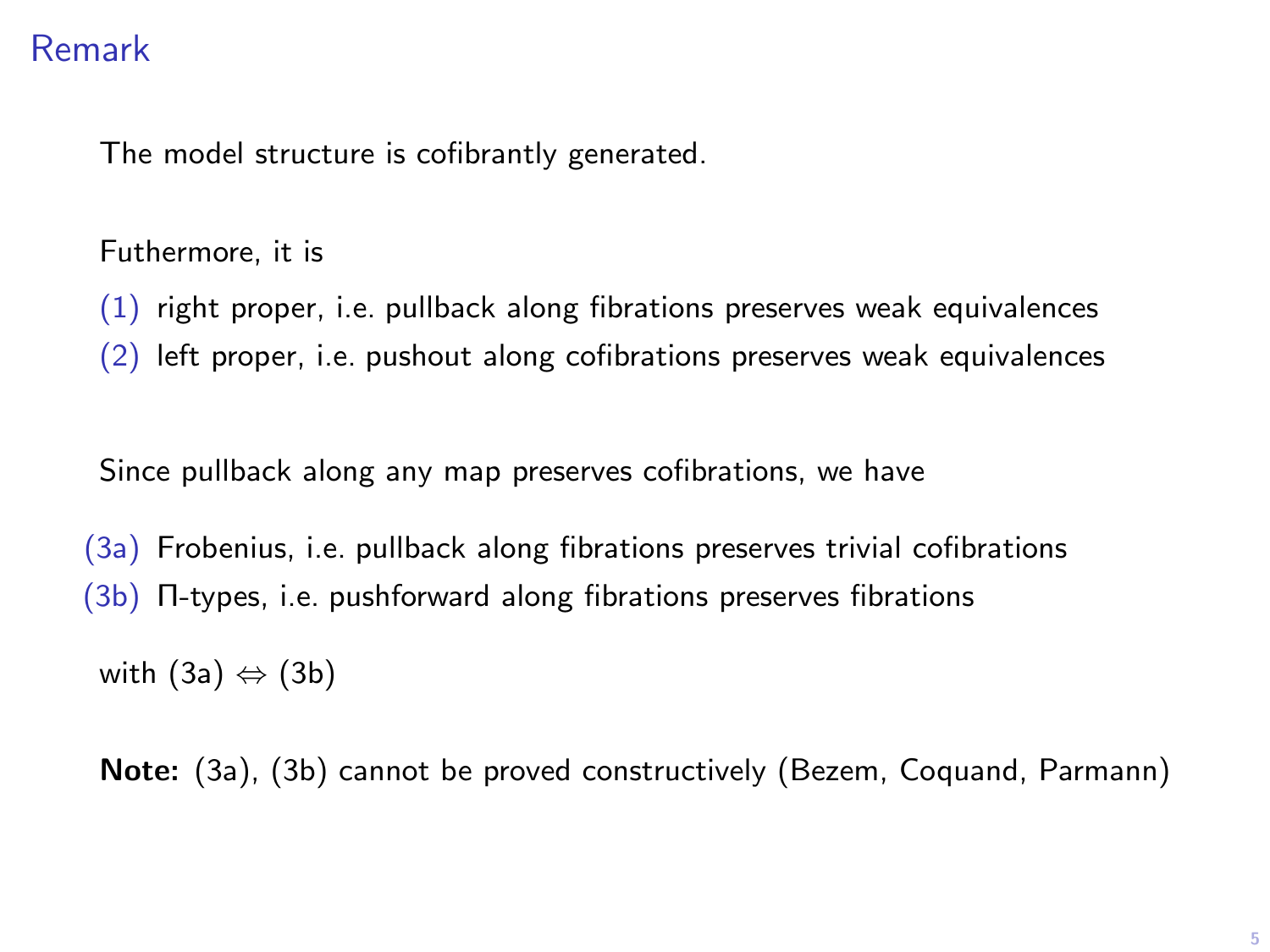# Remark

The model structure is cofibrantly generated.

Futhermore, it is

(1) right proper, i.e. pullback along fibrations preserves weak equivalences

(2) left proper, i.e. pushout along cofibrations preserves weak equivalences

Since pullback along any map preserves cofibrations, we have

(3a) Frobenius, i.e. pullback along fibrations preserves trivial cofibrations (3b) Π-types, i.e. pushforward along fibrations preserves fibrations

with  $(3a) \Leftrightarrow (3b)$ 

Note: (3a), (3b) cannot be proved constructively (Bezem, Coquand, Parmann)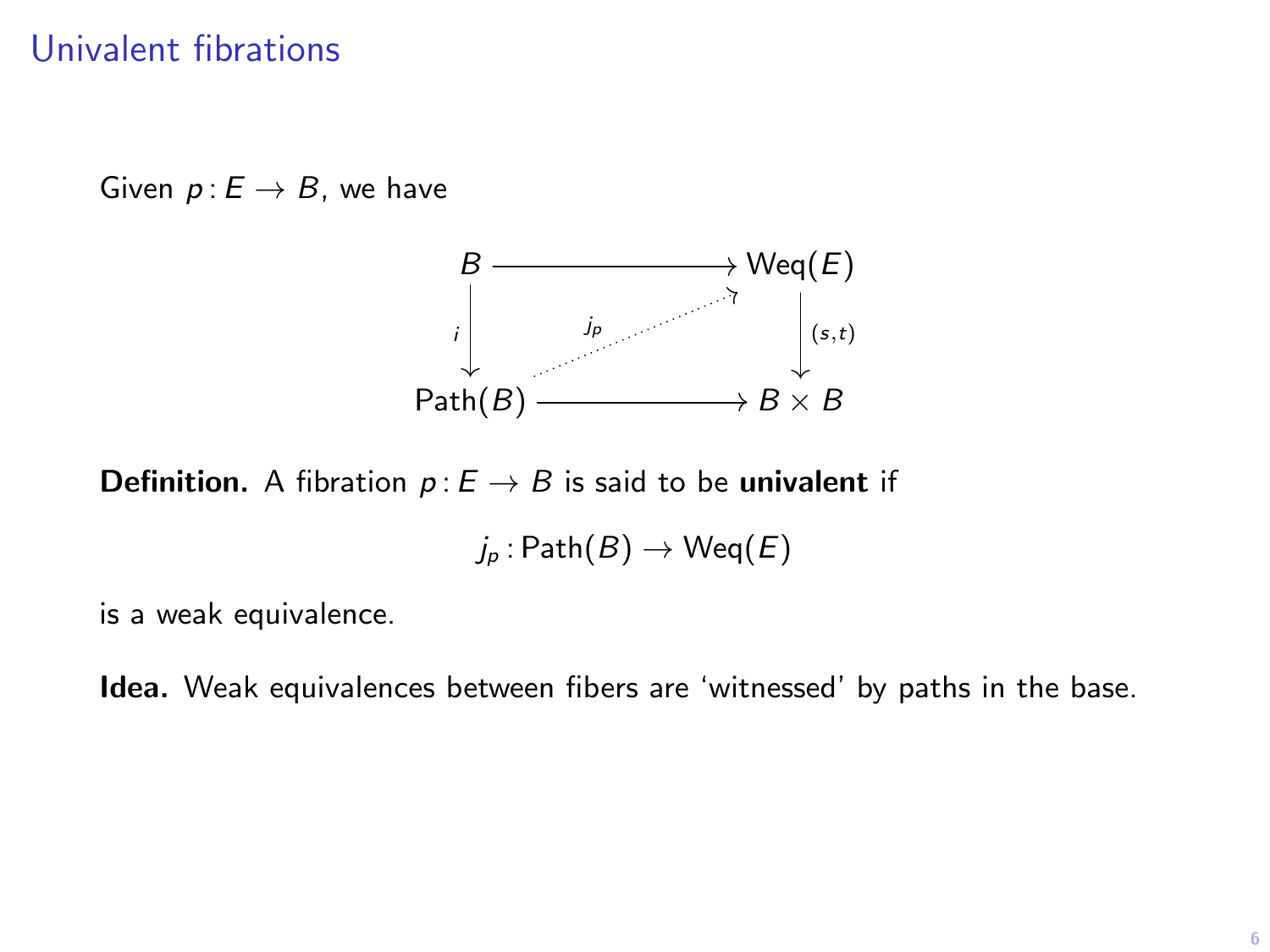## Univalent fibrations

Given  $p: E \rightarrow B$ , we have



**Definition.** A fibration  $p: E \to B$  is said to be univalent if

 $j_p : \mathsf{Path}(B) \to \mathsf{Weq}(E)$ 

is a weak equivalence.

Idea. Weak equivalences between fibers are 'witnessed' by paths in the base.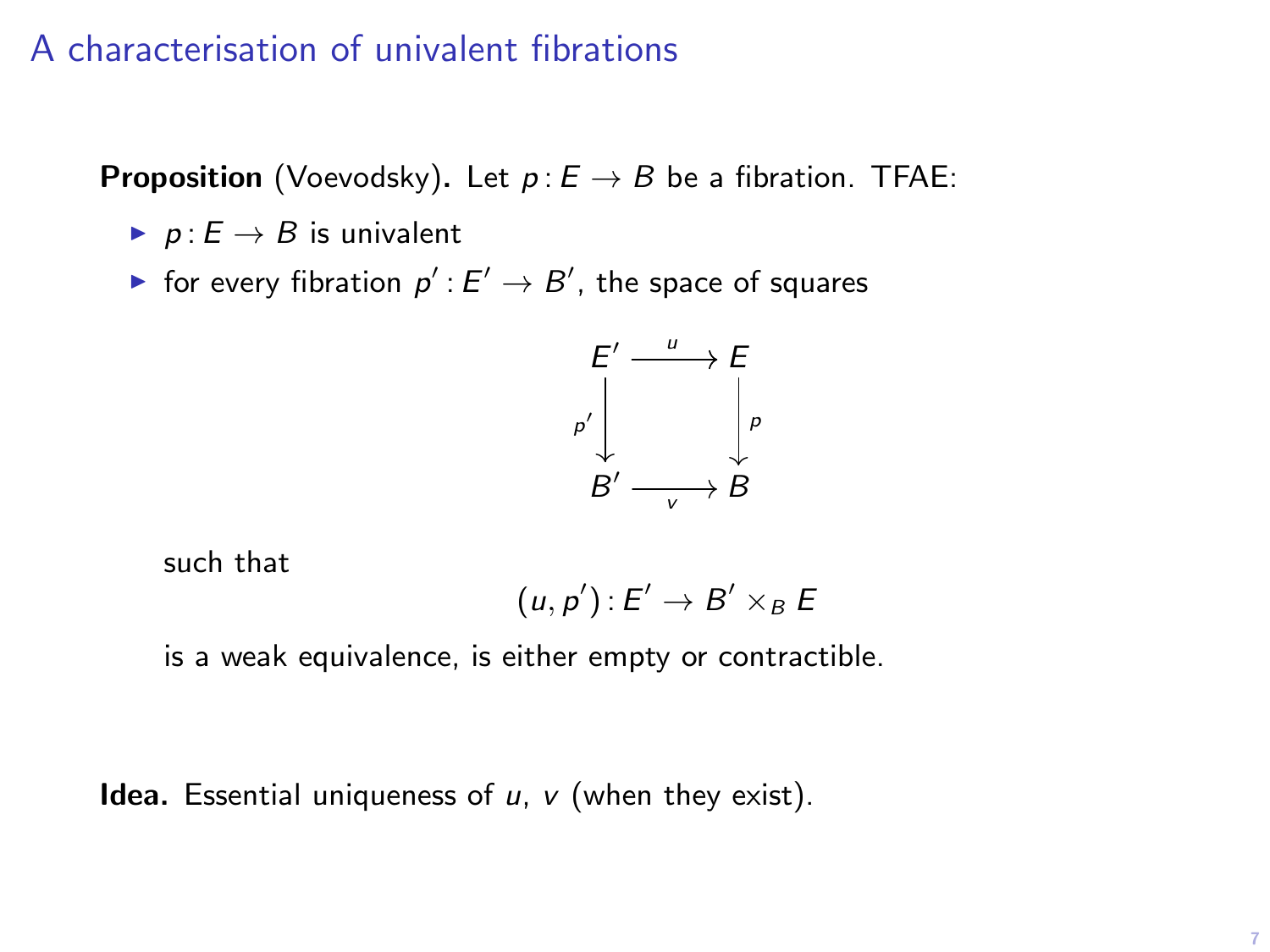## A characterisation of univalent fibrations

**Proposition** (Voevodsky). Let  $p: E \rightarrow B$  be a fibration. TFAE:

- $\blacktriangleright$  p :  $E \to B$  is univalent
- $\blacktriangleright$  for every fibration  $p':E'\to B'$ , the space of squares



such that

$$
(u,p'):E'\to B'\times_B E
$$

is a weak equivalence, is either empty or contractible.

**Idea.** Essential uniqueness of  $u$ ,  $v$  (when they exist).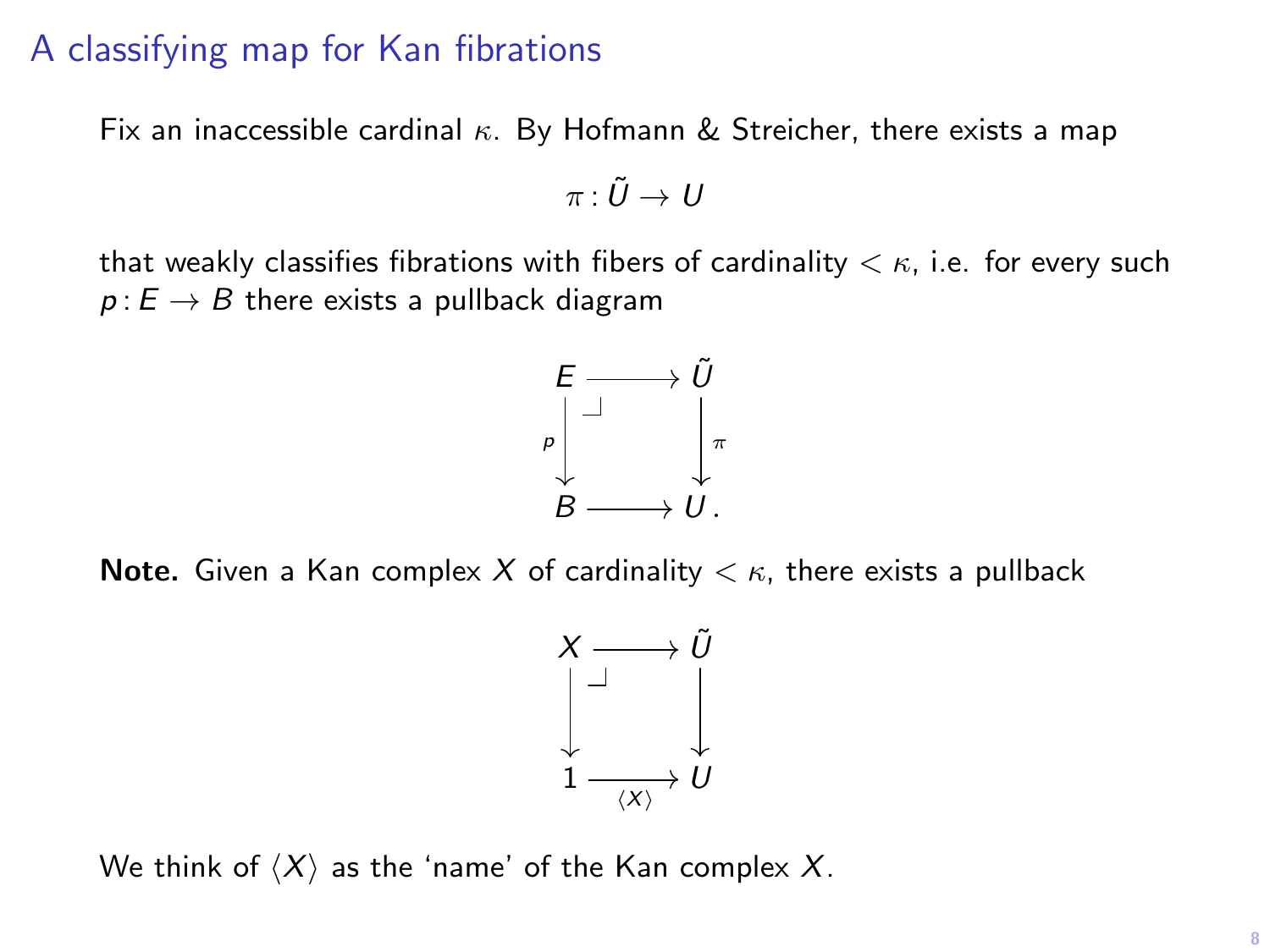## A classifying map for Kan fibrations

Fix an inaccessible cardinal  $\kappa$ . By Hofmann & Streicher, there exists a map

$$
\pi\colon \tilde{U}\to U
$$

that weakly classifies fibrations with fibers of cardinality  $\lt \kappa$ , i.e. for every such  $p: E \to B$  there exists a pullback diagram



**Note.** Given a Kan complex X of cardinality  $\lt \kappa$ , there exists a pullback



We think of  $\langle X \rangle$  as the 'name' of the Kan complex X.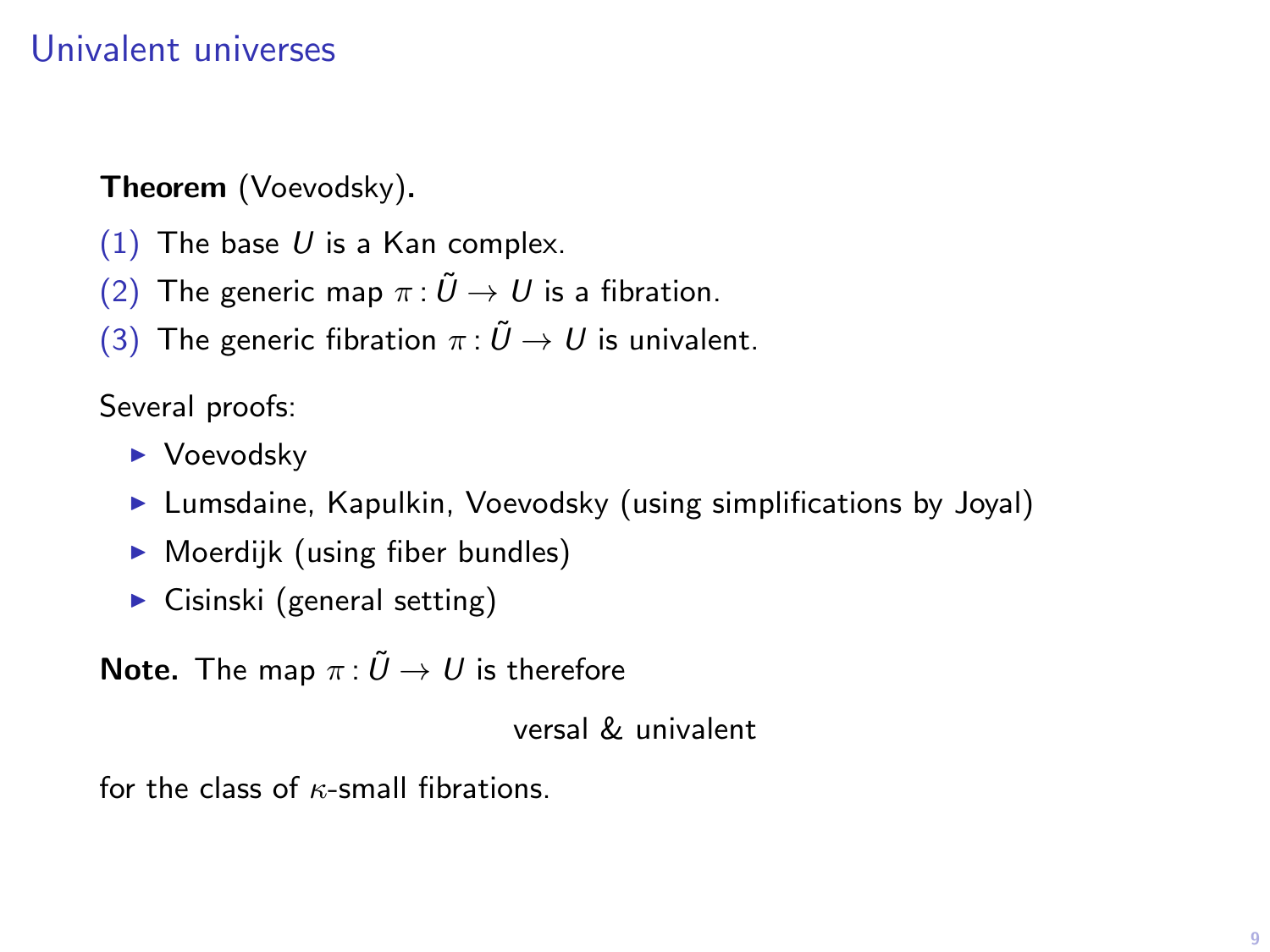## Univalent universes

#### Theorem (Voevodsky).

- (1) The base  $U$  is a Kan complex.
- (2) The generic map  $\pi : \tilde{U} \to U$  is a fibration.
- (3) The generic fibration  $\pi : \tilde{U} \to U$  is univalent.

#### Several proofs:

- $\blacktriangleright$  Voevodsky
- **Lumsdaine, Kapulkin, Voevodsky (using simplifications by Joyal)**
- $\triangleright$  Moerdijk (using fiber bundles)
- $\triangleright$  Cisinski (general setting)

**Note.** The map  $\pi : \tilde{U} \to U$  is therefore

versal & univalent

for the class of  $\kappa$ -small fibrations.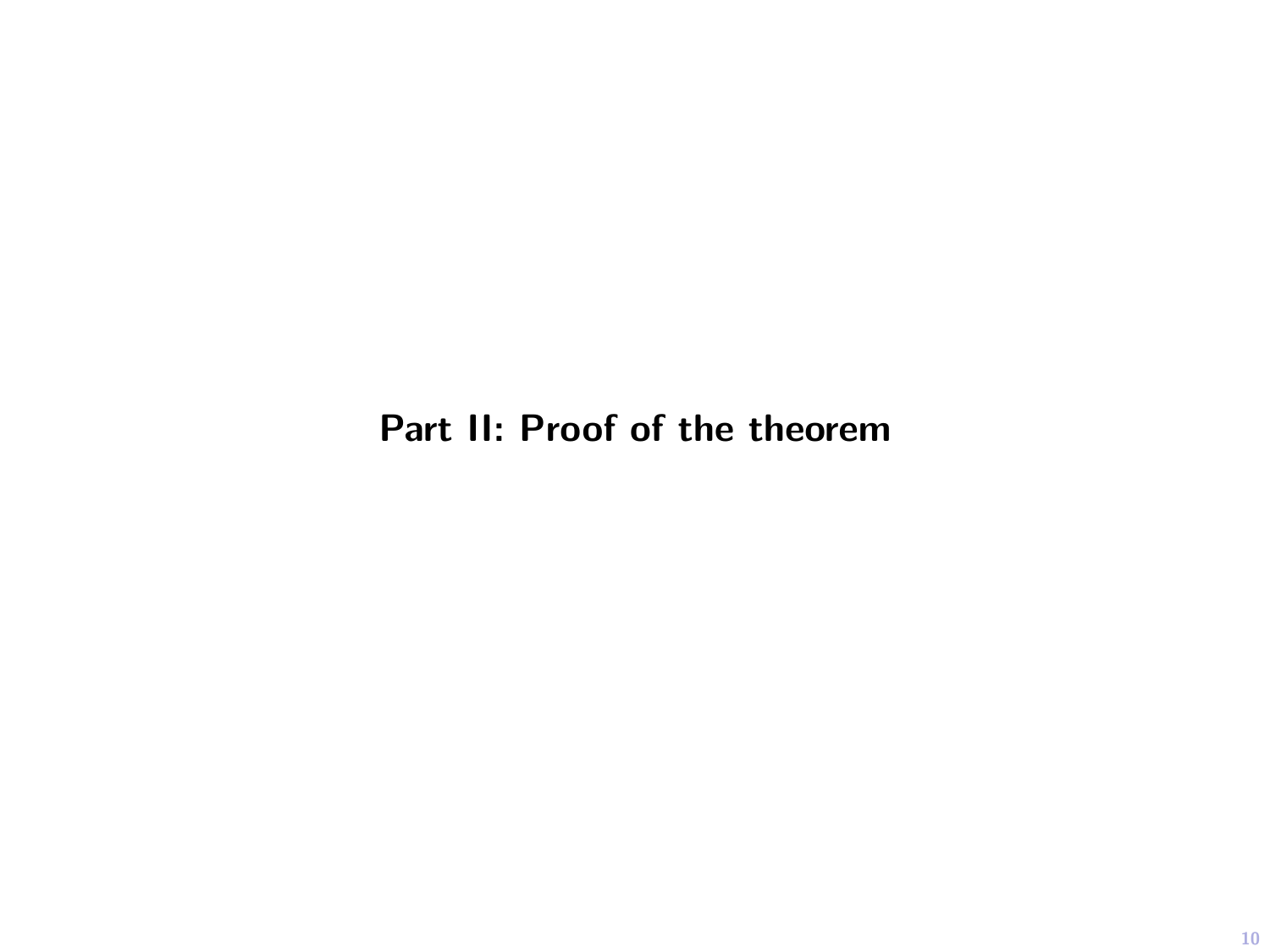# Part II: Proof of the theorem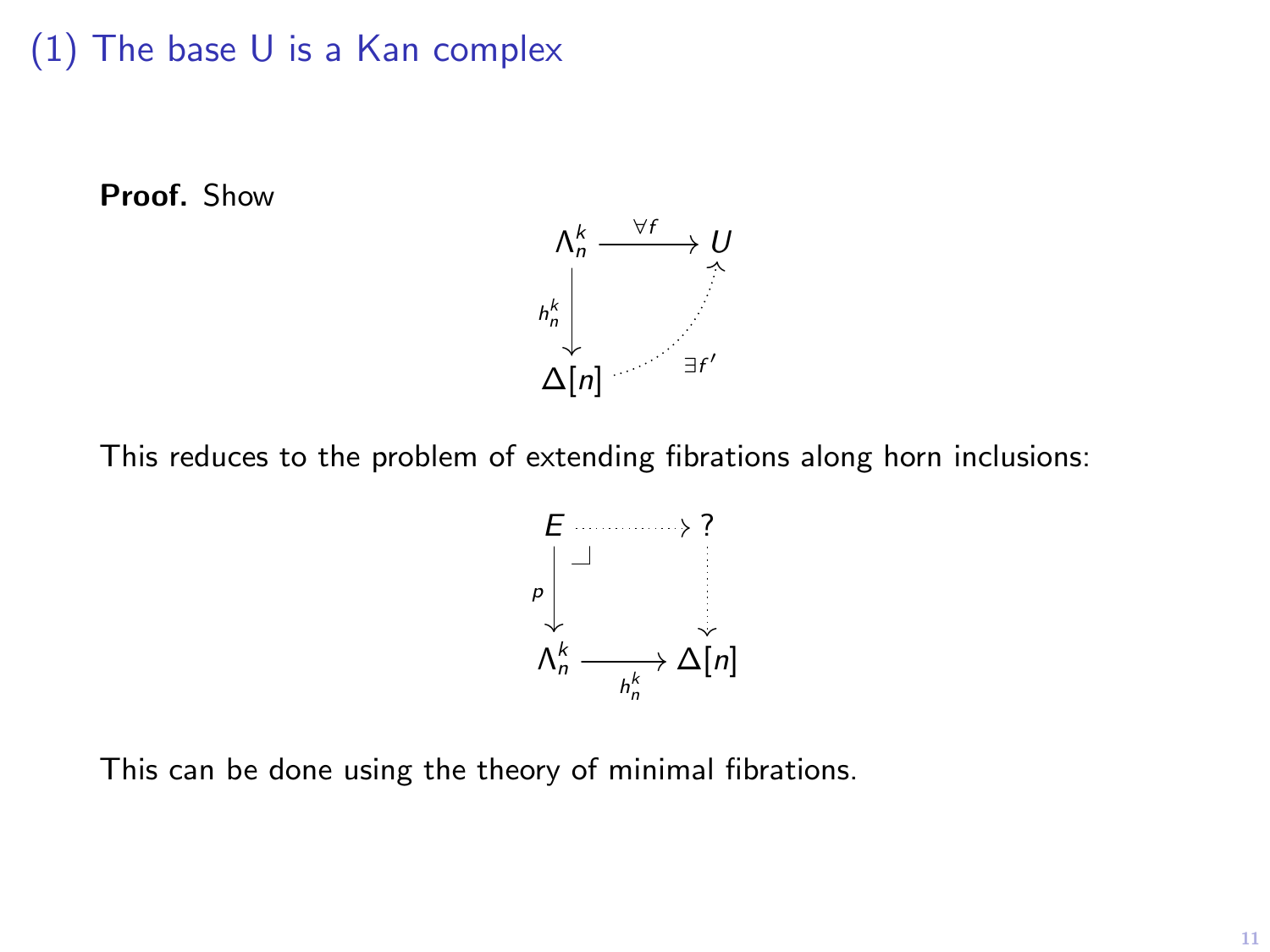## (1) The base U is a Kan complex

Proof. Show



This reduces to the problem of extending fibrations along horn inclusions:



This can be done using the theory of minimal fibrations.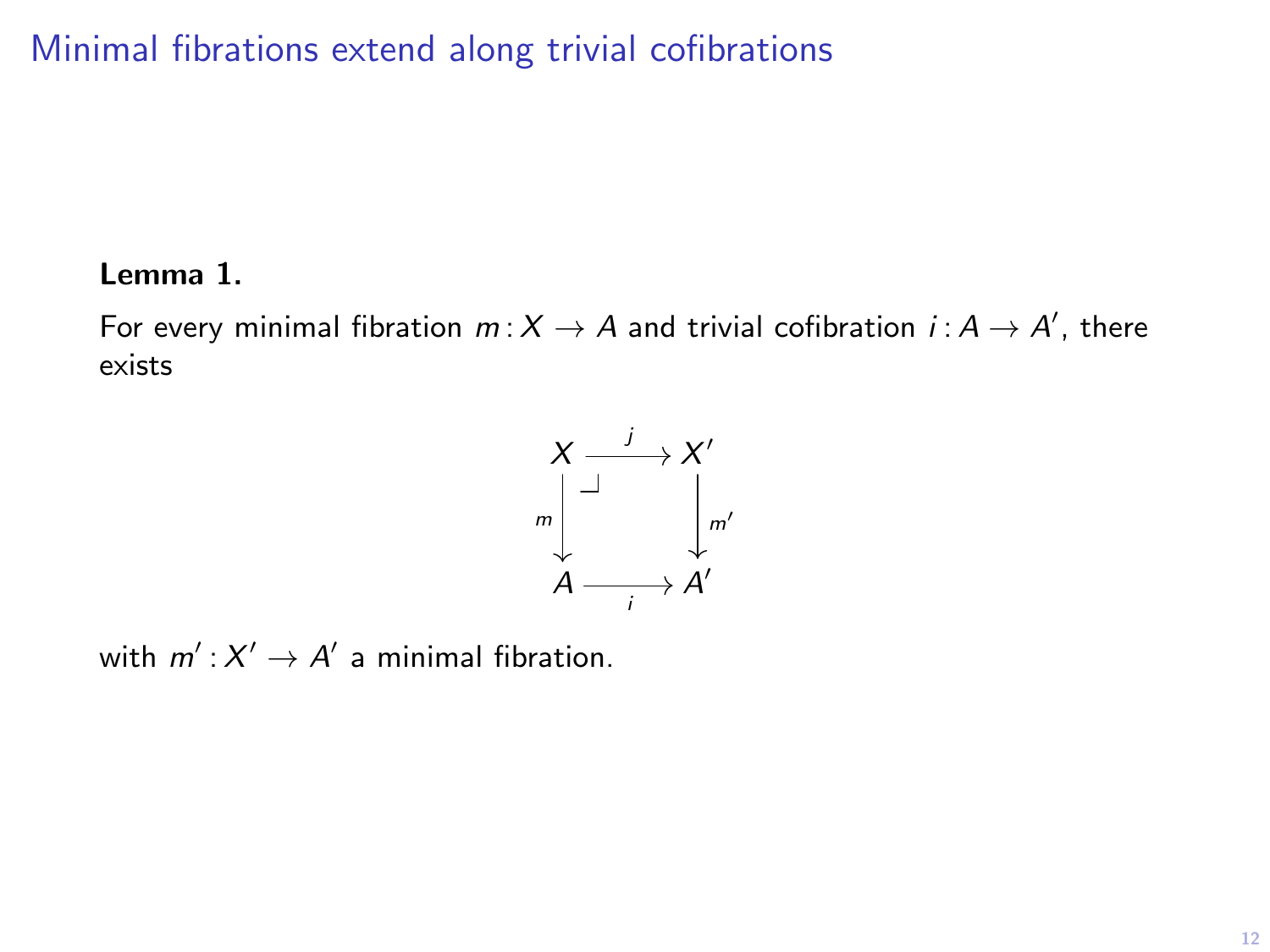Minimal fibrations extend along trivial cofibrations

#### Lemma 1.

For every minimal fibration  $m: X \to A$  and trivial cofibration  $i: A \to A'$ , there exists



with  $m': X' \to A'$  a minimal fibration.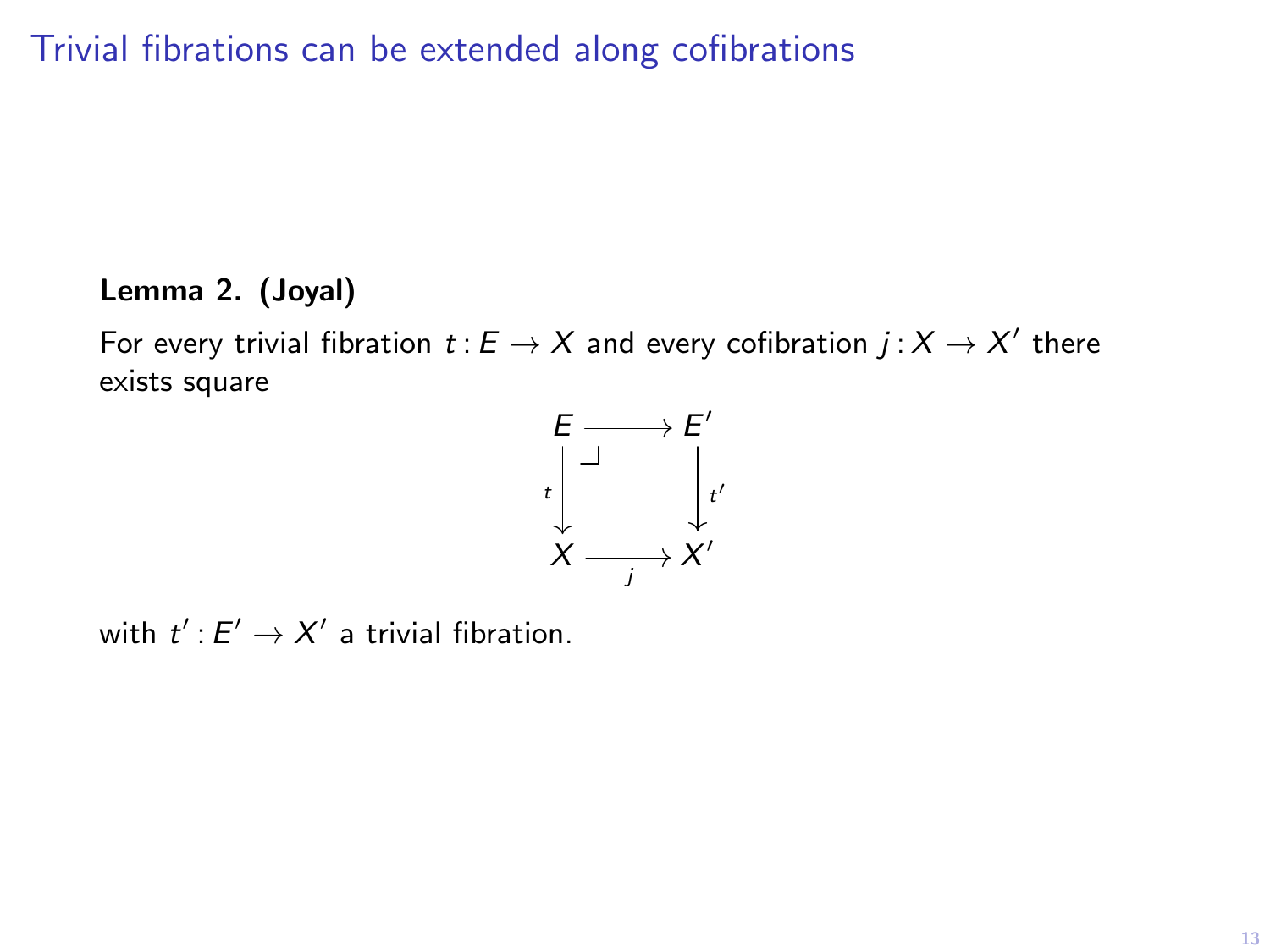Trivial fibrations can be extended along cofibrations

## Lemma 2. (Joyal)

For every trivial fibration  $t:E\to X$  and every cofibration  $j:X\to X'$  there exists square



with  $t': E' \to X'$  a trivial fibration.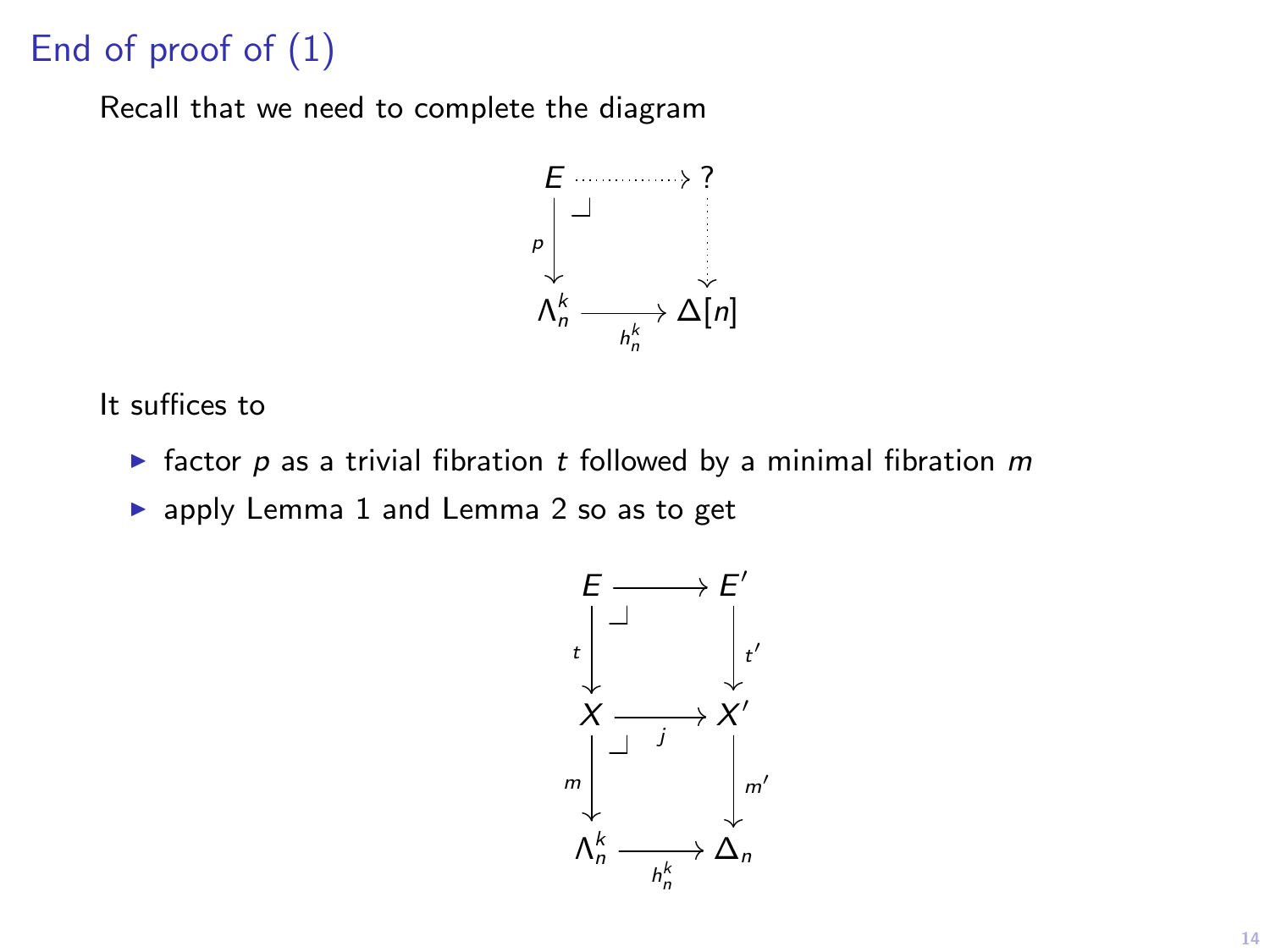# End of proof of (1)

Recall that we need to complete the diagram



It suffices to

**F** factor  $p$  as a trivial fibration  $t$  followed by a minimal fibration  $m$ 

 $\blacktriangleright$  apply Lemma 1 and Lemma 2 so as to get

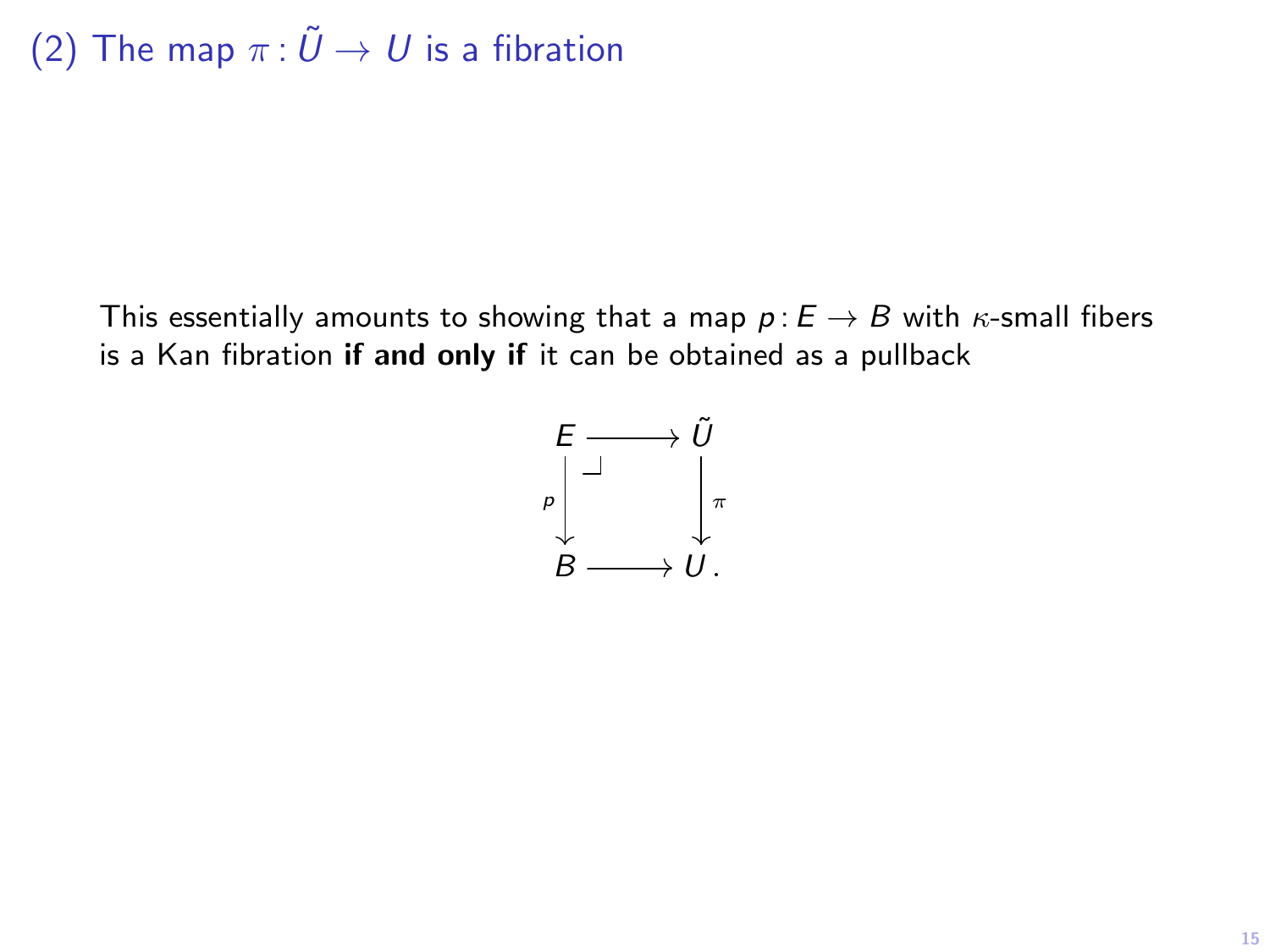This essentially amounts to showing that a map  $p : E \to B$  with  $\kappa$ -small fibers is a Kan fibration if and only if it can be obtained as a pullback

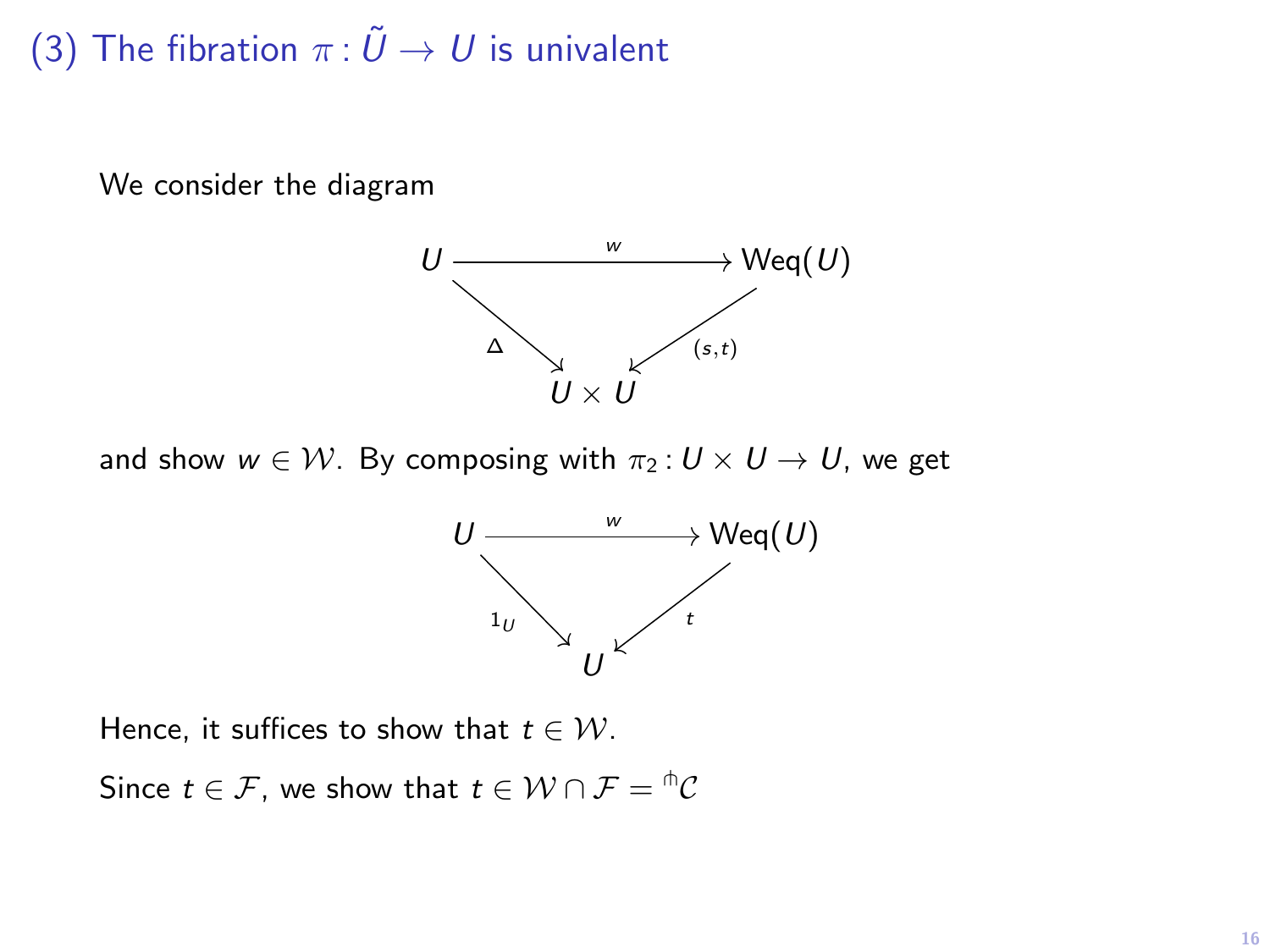# (3) The fibration  $\pi: \tilde{U} \to U$  is univalent

We consider the diagram



and show  $w \in \mathcal{W}$ . By composing with  $\pi_2: U \times U \rightarrow U$ , we get



Hence, it suffices to show that  $t \in \mathcal{W}$ .

Since  $t\in\mathcal{F}$ , we show that  $t\in\mathcal{W}\cap\mathcal{F}={}^{\pitchfork}\mathcal{C}$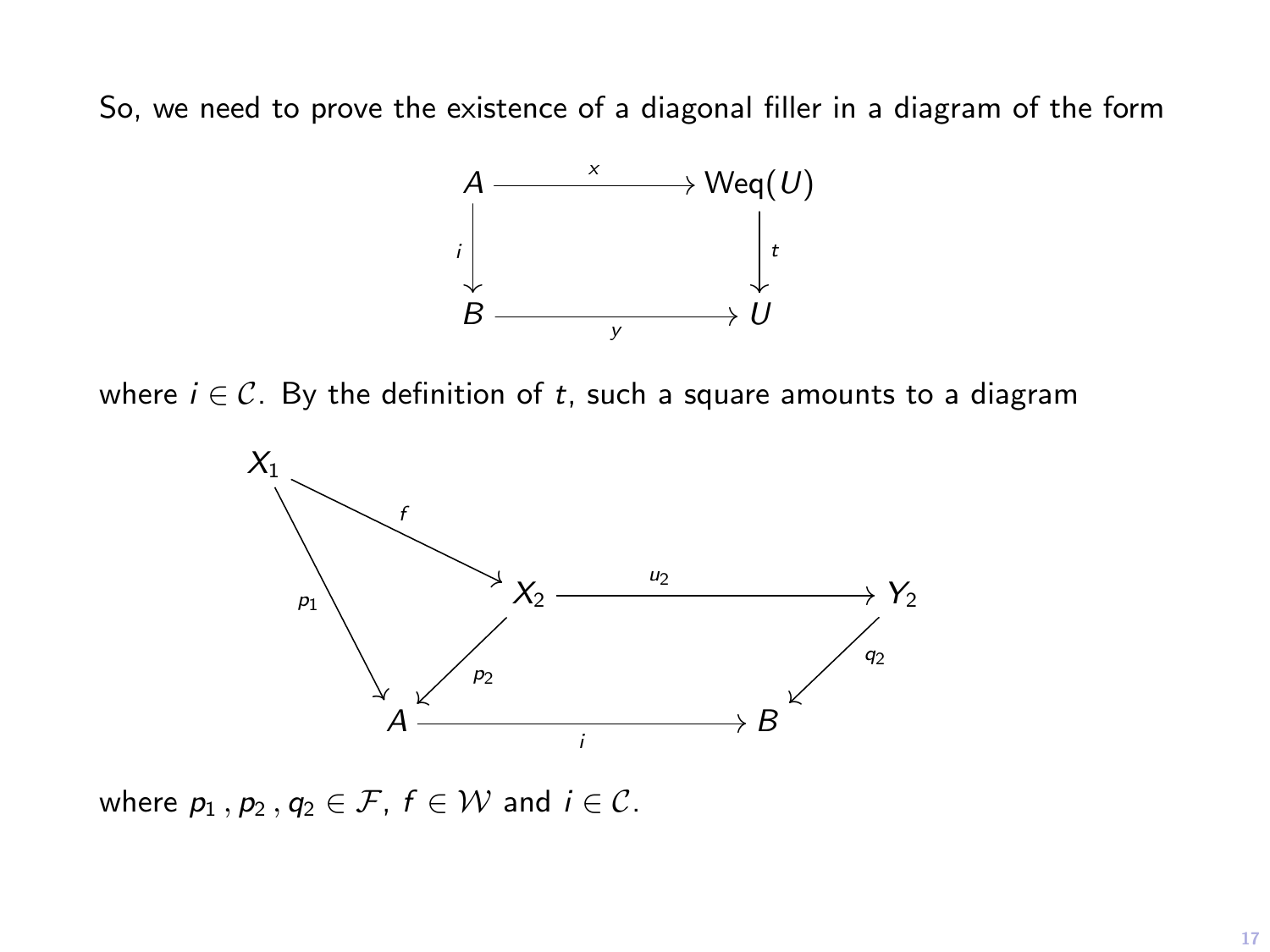So, we need to prove the existence of a diagonal filler in a diagram of the form



where  $i \in \mathcal{C}$ . By the definition of t, such a square amounts to a diagram



where  $p_1$ ,  $p_2$ ,  $q_2 \in \mathcal{F}$ ,  $f \in \mathcal{W}$  and  $i \in \mathcal{C}$ .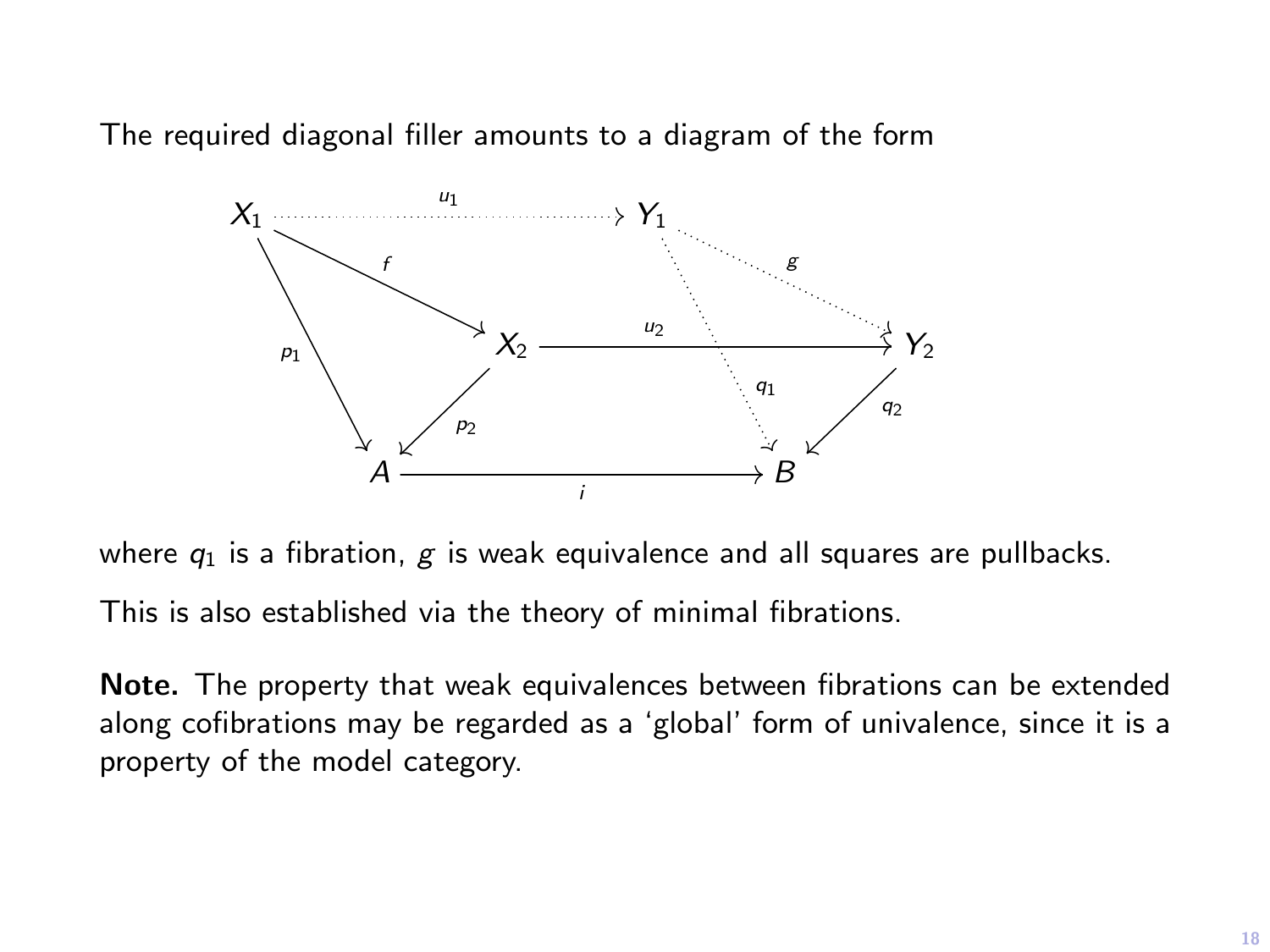The required diagonal filler amounts to a diagram of the form



where  $q_1$  is a fibration, g is weak equivalence and all squares are pullbacks. This is also established via the theory of minimal fibrations.

Note. The property that weak equivalences between fibrations can be extended along cofibrations may be regarded as a 'global' form of univalence, since it is a property of the model category.